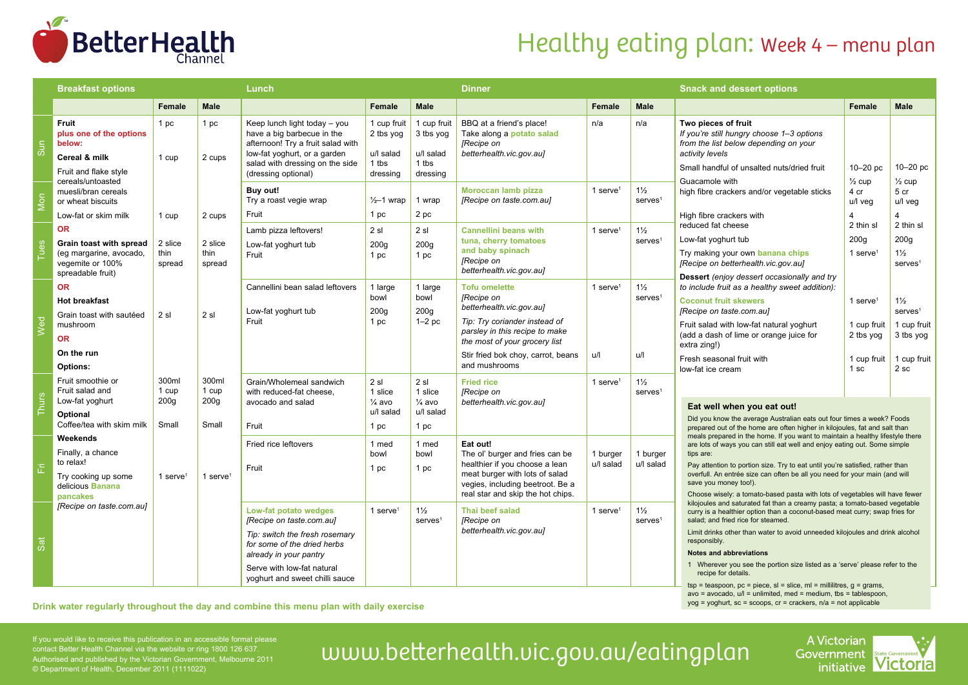

# Healthy eating plan: Week 4 – menu plan

|       | <b>Breakfast options</b>                                                                                 |                           | Lunch                     |                                                                                                                                                                                                              |                                                            | <b>Dinner</b>                                              |                                                                                                                                                                                                          |                               | <b>Snack and dessert options</b>                |                                                                                                                                                                                                                                                                                                                                                                                                                                                                                                                                |                                                                 |                                                                                  |
|-------|----------------------------------------------------------------------------------------------------------|---------------------------|---------------------------|--------------------------------------------------------------------------------------------------------------------------------------------------------------------------------------------------------------|------------------------------------------------------------|------------------------------------------------------------|----------------------------------------------------------------------------------------------------------------------------------------------------------------------------------------------------------|-------------------------------|-------------------------------------------------|--------------------------------------------------------------------------------------------------------------------------------------------------------------------------------------------------------------------------------------------------------------------------------------------------------------------------------------------------------------------------------------------------------------------------------------------------------------------------------------------------------------------------------|-----------------------------------------------------------------|----------------------------------------------------------------------------------|
|       |                                                                                                          | Female                    | <b>Male</b>               |                                                                                                                                                                                                              | Female                                                     | <b>Male</b>                                                |                                                                                                                                                                                                          | Female                        | <b>Male</b>                                     |                                                                                                                                                                                                                                                                                                                                                                                                                                                                                                                                | Female                                                          | <b>Male</b>                                                                      |
| Sun   | Fruit<br>plus one of the options<br>below:<br>Cereal & milk<br>Fruit and flake style                     | 1 pc<br>1 cup             | 1 pc<br>2 cups            | Keep lunch light today - you<br>have a big barbecue in the<br>afternoon! Try a fruit salad with<br>low-fat yoghurt, or a garden<br>salad with dressing on the side<br>(dressing optional)                    | 1 cup fruit<br>2 tbs yog<br>u/l salad<br>1 tbs<br>dressing | 1 cup fruit<br>3 tbs yog<br>u/l salad<br>1 tbs<br>dressing | BBQ at a friend's place!<br>Take along a potato salad<br><b>IRecipe on</b><br>betterhealth.vic.gov.au]                                                                                                   | n/a                           | n/a                                             | Two pieces of fruit<br>If you're still hungry choose 1-3 options<br>from the list below depending on your<br>activity levels<br>Small handful of unsalted nuts/dried fruit                                                                                                                                                                                                                                                                                                                                                     | $10-20$ pc                                                      | $10-20$ pc                                                                       |
| Mon   | cereals/untoasted<br>muesli/bran cereals<br>or wheat biscuits<br>Low-fat or skim milk                    | 1 cup                     | 2 cups                    | Buy out!<br>Try a roast vegie wrap<br>Fruit                                                                                                                                                                  | $\frac{1}{2}$ -1 wrap<br>1 pc                              | 1 wrap<br>2 pc                                             | Moroccan lamb pizza<br>[Recipe on taste.com.au]                                                                                                                                                          | 1 serve $1$                   | $1\frac{1}{2}$<br>serves <sup>1</sup>           | Guacamole with<br>high fibre crackers and/or vegetable sticks<br>High fibre crackers with                                                                                                                                                                                                                                                                                                                                                                                                                                      | $\frac{1}{2}$ cup<br>4 cr<br>u/l veg                            | $\frac{1}{2}$ cup<br>5 cr<br>u/l veg<br>4                                        |
| Tues  | <b>OR</b><br>Grain toast with spread<br>(eg margarine, avocado,<br>vegemite or 100%<br>spreadable fruit) | 2 slice<br>thin<br>spread | 2 slice<br>thin<br>spread | Lamb pizza leftovers!<br>Low-fat yoghurt tub<br>Fruit                                                                                                                                                        | 2 s1<br>200q<br>1 pc                                       | 2sl<br>200q<br>1 pc                                        | <b>Cannellini beans with</b><br>tuna, cherry tomatoes<br>and baby spinach<br><b>[Recipe on</b><br>betterhealth.vic.gov.aul                                                                               | 1 serve $1$                   | $1\frac{1}{2}$<br>serves <sup>1</sup>           | reduced fat cheese<br>Low-fat yoghurt tub<br>Try making your own banana chips<br>[Recipe on betterhealth.vic.gov.au]<br>Dessert (enjoy dessert occasionally and try<br>to include fruit as a healthy sweet addition):<br><b>Coconut fruit skewers</b><br>[Recipe on taste.com.au]<br>Fruit salad with low-fat natural yoghurt<br>(add a dash of lime or orange juice for<br>extra zing!)<br>Fresh seasonal fruit with                                                                                                          | 2 thin sl<br>200q<br>1 serve <sup>1</sup>                       | 2 thin sl<br>200 <sub>g</sub><br>$1\frac{1}{2}$<br>serves <sup>1</sup>           |
| Wed   | <b>OR</b><br><b>Hot breakfast</b><br>Grain toast with sautéed<br>mushroom<br><b>OR</b><br>On the run     | 2sl                       | 2sl                       | Cannellini bean salad leftovers<br>Low-fat yoghurt tub<br>Fruit                                                                                                                                              | 1 large<br>bowl<br>200 <sub>g</sub><br>1 pc                | 1 large<br>bowl<br>200q<br>$1-2$ pc                        | <b>Tofu omelette</b><br>[Recipe on<br>betterhealth.vic.gov.aul<br>Tip: Try coriander instead of<br>parsley in this recipe to make<br>the most of your grocery list<br>Stir fried bok choy, carrot, beans | $1$ serve <sup>1</sup><br>u/l | $1\frac{1}{2}$<br>$s$ erves <sup>1</sup><br>u/l |                                                                                                                                                                                                                                                                                                                                                                                                                                                                                                                                | 1 serve <sup>1</sup><br>1 cup fruit<br>2 tbs yog<br>1 cup fruit | $1\frac{1}{2}$<br>serves <sup>1</sup><br>1 cup fruit<br>3 tbs yog<br>1 cup fruit |
|       | Options:<br>Fruit smoothie or<br>Fruit salad and                                                         | 300ml<br>1 cup            | 300ml<br>1 cup            | Grain/Wholemeal sandwich<br>with reduced-fat cheese,                                                                                                                                                         | 2 sl<br>1 slice                                            | 2 sl<br>1 slice                                            | and mushrooms<br><b>Fried rice</b><br><b>[Recipe on</b>                                                                                                                                                  | 1 serve $1$                   | $1\frac{1}{2}$<br>$s$ erves <sup>1</sup>        | low-fat ice cream                                                                                                                                                                                                                                                                                                                                                                                                                                                                                                              | 1 sc                                                            | 2 <sub>sc</sub>                                                                  |
| Thurs | Low-fat yoghurt<br>Optional<br>Coffee/tea with skim milk                                                 | 200q<br>Small             | 200q<br>Small             | avocado and salad<br>Fruit                                                                                                                                                                                   | $\frac{1}{4}$ avo<br>u/l salad<br>1 pc                     | $\frac{1}{4}$ avo<br>u/l salad<br>1 pc                     | betterhealth.vic.gov.aul                                                                                                                                                                                 |                               |                                                 | Eat well when you eat out!<br>Did you know the average Australian eats out four times a week? Foods<br>prepared out of the home are often higher in kilojoules, fat and salt than                                                                                                                                                                                                                                                                                                                                              |                                                                 |                                                                                  |
| 旧     | Weekends<br>Finally, a chance<br>to relax!<br>Try cooking up some<br>delicious Banana<br>pancakes        | 1 serve $1$               | 1 serve <sup>1</sup>      | Fried rice leftovers<br>Fruit                                                                                                                                                                                | 1 med<br>bowl<br>1 pc                                      | 1 med<br>bowl<br>1 pc                                      | Eat out!<br>The ol' burger and fries can be<br>healthier if you choose a lean<br>meat burger with lots of salad<br>vegies, including beetroot. Be a<br>real star and skip the hot chips.                 | 1 burger<br>u/l salad         | 1 burger<br>u/l salad                           | meals prepared in the home. If you want to maintain a healthy lifestyle there<br>are lots of ways you can still eat well and enjoy eating out. Some simple<br>tips are:<br>Pay attention to portion size. Try to eat until you're satisfied, rather than<br>overfull. An entrée size can often be all you need for your main (and will<br>save you money too!).<br>Choose wisely: a tomato-based pasta with lots of vegetables will have fewer                                                                                 |                                                                 |                                                                                  |
| Sat   | [Recipe on taste.com.au]                                                                                 |                           |                           | Low-fat potato wedges<br>[Recipe on taste.com.au]<br>Tip: switch the fresh rosemary<br>for some of the dried herbs<br>already in your pantry<br>Serve with low-fat natural<br>yoghurt and sweet chilli sauce | 1 serve $1$                                                | $1\frac{1}{2}$<br>serves <sup>1</sup>                      | Thai beef salad<br><b>[Recipe on</b><br>betterhealth.vic.gov.aul                                                                                                                                         | 1 serve $1$                   | $1\frac{1}{2}$<br>$s$ erves <sup>1</sup>        | kilojoules and saturated fat than a creamy pasta; a tomato-based vegetable<br>curry is a healthier option than a coconut-based meat curry; swap fries for<br>salad; and fried rice for steamed.<br>Limit drinks other than water to avoid unneeded kilojoules and drink alcohol<br>responsibly.<br><b>Notes and abbreviations</b><br>1 Wherever you see the portion size listed as a 'serve' please refer to the<br>recipe for details.<br>$tsp = teaspoon$ , $pc = piece$ , $sl = slice$ , $ml = millilitres$ , $g = grams$ , |                                                                 |                                                                                  |

Drink water regularly throughout the day and combine this menu plan with daily exercise **Drink water regularly throughout the day and combine this menu plan with daily exercise** 

avo = avocado, u/l = unlimited, med = medium, tbs = tablespoon,

contact Better Health Channel via the website or ring 1800 126 637. Authorised and published by the Victorian Government, Melbourne 2011 © Department of Health, December 2011 (1111022)

# If you would like to receive this publication in an accessible format please<br>Contact Better Health Channel via the website or ring 1800 126 637.<br>Authorised and published by the Victorian Government, Melbourne 2011 UWW.bett